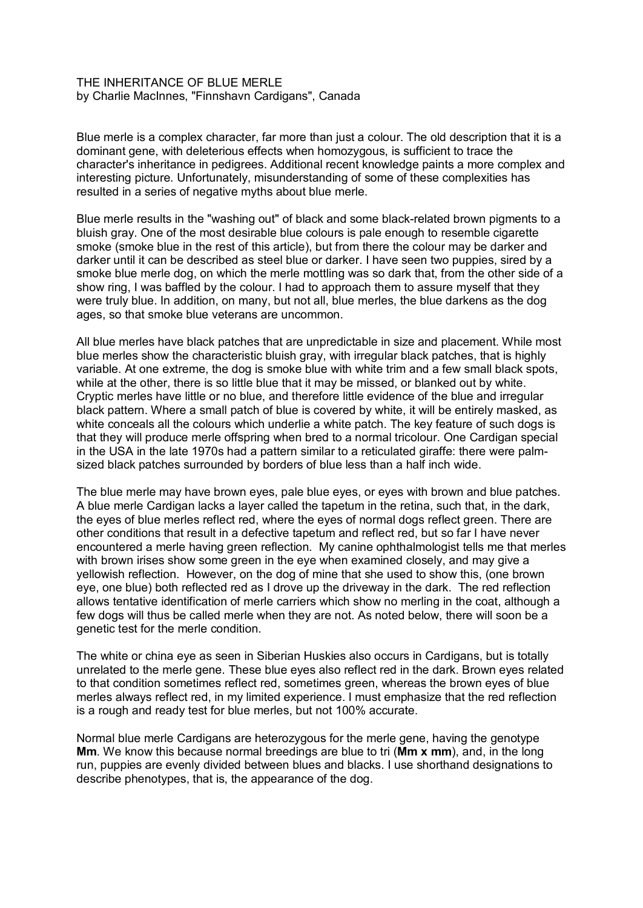## THE INHERITANCE OF BLUE MERLE by Charlie MacInnes, "Finnshavn Cardigans", Canada

Blue merle is a complex character, far more than just a colour. The old description that it is a dominant gene, with deleterious effects when homozygous, is sufficient to trace the character's inheritance in pedigrees. Additional recent knowledge paints a more complex and interesting picture. Unfortunately, misunderstanding of some of these complexities has resulted in a series of negative myths about blue merle.

Blue merle results in the "washing out" of black and some black-related brown pigments to a bluish gray. One of the most desirable blue colours is pale enough to resemble cigarette smoke (smoke blue in the rest of this article), but from there the colour may be darker and darker until it can be described as steel blue or darker. I have seen two puppies, sired by a smoke blue merle dog, on which the merle mottling was so dark that, from the other side of a show ring, I was baffled by the colour. I had to approach them to assure myself that they were truly blue. In addition, on many, but not all, blue merles, the blue darkens as the dog ages, so that smoke blue veterans are uncommon.

All blue merles have black patches that are unpredictable in size and placement. While most blue merles show the characteristic bluish gray, with irregular black patches, that is highly variable. At one extreme, the dog is smoke blue with white trim and a few small black spots, while at the other, there is so little blue that it may be missed, or blanked out by white. Cryptic merles have little or no blue, and therefore little evidence of the blue and irregular black pattern. Where a small patch of blue is covered by white, it will be entirely masked, as white conceals all the colours which underlie a white patch. The key feature of such dogs is that they will produce merle offspring when bred to a normal tricolour. One Cardigan special in the USA in the late 1970s had a pattern similar to a reticulated giraffe: there were palmsized black patches surrounded by borders of blue less than a half inch wide.

The blue merle may have brown eyes, pale blue eyes, or eyes with brown and blue patches. A blue merle Cardigan lacks a layer called the tapetum in the retina, such that, in the dark, the eyes of blue merles reflect red, where the eyes of normal dogs reflect green. There are other conditions that result in a defective tapetum and reflect red, but so far I have never encountered a merle having green reflection. My canine ophthalmologist tells me that merles with brown irises show some green in the eye when examined closely, and may give a yellowish reflection. However, on the dog of mine that she used to show this, (one brown eye, one blue) both reflected red as I drove up the driveway in the dark. The red reflection allows tentative identification of merle carriers which show no merling in the coat, although a few dogs will thus be called merle when they are not. As noted below, there will soon be a genetic test for the merle condition.

The white or china eye as seen in Siberian Huskies also occurs in Cardigans, but is totally unrelated to the merle gene. These blue eyes also reflect red in the dark. Brown eyes related to that condition sometimes reflect red, sometimes green, whereas the brown eyes of blue merles always reflect red, in my limited experience. I must emphasize that the red reflection is a rough and ready test for blue merles, but not 100% accurate.

Normal blue merle Cardigans are heterozygous for the merle gene, having the genotype **Mm**. We know this because normal breedings are blue to tri (**Mm x mm**), and, in the long run, puppies are evenly divided between blues and blacks. I use shorthand designations to describe phenotypes, that is, the appearance of the dog.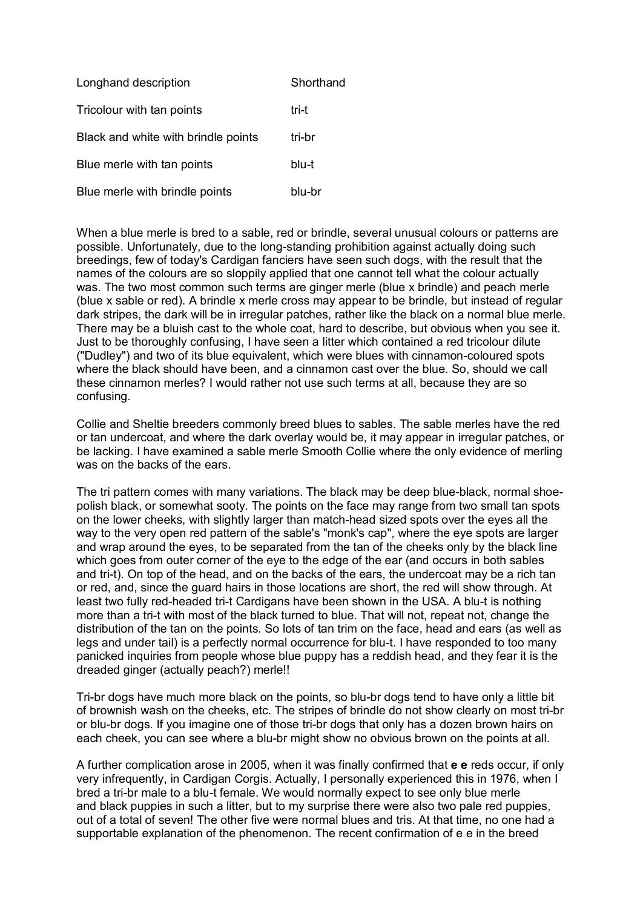| Longhand description                | Shorthand |
|-------------------------------------|-----------|
| Tricolour with tan points           | tri-t     |
| Black and white with brindle points | tri-br    |
| Blue merle with tan points          | blu-t     |
| Blue merle with brindle points      | blu-br    |

When a blue merle is bred to a sable, red or brindle, several unusual colours or patterns are possible. Unfortunately, due to the long-standing prohibition against actually doing such breedings, few of today's Cardigan fanciers have seen such dogs, with the result that the names of the colours are so sloppily applied that one cannot tell what the colour actually was. The two most common such terms are ginger merle (blue x brindle) and peach merle (blue x sable or red). A brindle x merle cross may appear to be brindle, but instead of regular dark stripes, the dark will be in irregular patches, rather like the black on a normal blue merle. There may be a bluish cast to the whole coat, hard to describe, but obvious when you see it. Just to be thoroughly confusing, I have seen a litter which contained a red tricolour dilute ("Dudley") and two of its blue equivalent, which were blues with cinnamon-coloured spots where the black should have been, and a cinnamon cast over the blue. So, should we call these cinnamon merles? I would rather not use such terms at all, because they are so confusing.

Collie and Sheltie breeders commonly breed blues to sables. The sable merles have the red or tan undercoat, and where the dark overlay would be, it may appear in irregular patches, or be lacking. I have examined a sable merle Smooth Collie where the only evidence of merling was on the backs of the ears.

The tri pattern comes with many variations. The black may be deep blue-black, normal shoepolish black, or somewhat sooty. The points on the face may range from two small tan spots on the lower cheeks, with slightly larger than match-head sized spots over the eyes all the way to the very open red pattern of the sable's "monk's cap", where the eye spots are larger and wrap around the eyes, to be separated from the tan of the cheeks only by the black line which goes from outer corner of the eye to the edge of the ear (and occurs in both sables and tri-t). On top of the head, and on the backs of the ears, the undercoat may be a rich tan or red, and, since the guard hairs in those locations are short, the red will show through. At least two fully red-headed tri-t Cardigans have been shown in the USA. A blu-t is nothing more than a tri-t with most of the black turned to blue. That will not, repeat not, change the distribution of the tan on the points. So lots of tan trim on the face, head and ears (as well as legs and under tail) is a perfectly normal occurrence for blu-t. I have responded to too many panicked inquiries from people whose blue puppy has a reddish head, and they fear it is the dreaded ginger (actually peach?) merle!!

Tri-br dogs have much more black on the points, so blu-br dogs tend to have only a little bit of brownish wash on the cheeks, etc. The stripes of brindle do not show clearly on most tri-br or blu-br dogs. If you imagine one of those tri-br dogs that only has a dozen brown hairs on each cheek, you can see where a blu-br might show no obvious brown on the points at all.

A further complication arose in 2005, when it was finally confirmed that **e e** reds occur, if only very infrequently, in Cardigan Corgis. Actually, I personally experienced this in 1976, when I bred a tri-br male to a blu-t female. We would normally expect to see only blue merle and black puppies in such a litter, but to my surprise there were also two pale red puppies, out of a total of seven! The other five were normal blues and tris. At that time, no one had a supportable explanation of the phenomenon. The recent confirmation of e e in the breed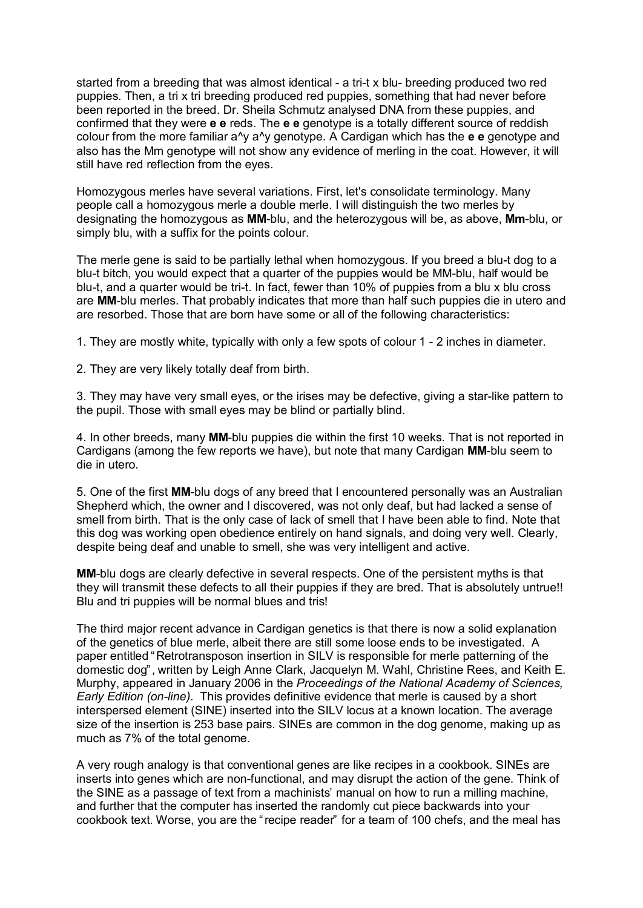started from a breeding that was almost identical - a tri-t x blu- breeding produced two red puppies. Then, a tri x tri breeding produced red puppies, something that had never before been reported in the breed. Dr. Sheila Schmutz analysed DNA from these puppies, and confirmed that they were **e e** reds. The **e e** genotype is a totally different source of reddish colour from the more familiar a^y a^y genotype. A Cardigan which has the **e e** genotype and also has the Mm genotype will not show any evidence of merling in the coat. However, it will still have red reflection from the eyes.

Homozygous merles have several variations. First, let's consolidate terminology. Many people call a homozygous merle a double merle. I will distinguish the two merles by designating the homozygous as **MM**-blu, and the heterozygous will be, as above, **Mm**-blu, or simply blu, with a suffix for the points colour.

The merle gene is said to be partially lethal when homozygous. If you breed a blu-t dog to a blu-t bitch, you would expect that a quarter of the puppies would be MM-blu, half would be blu-t, and a quarter would be tri-t. In fact, fewer than 10% of puppies from a blu x blu cross are **MM**-blu merles. That probably indicates that more than half such puppies die in utero and are resorbed. Those that are born have some or all of the following characteristics:

1. They are mostly white, typically with only a few spots of colour 1 - 2 inches in diameter.

2. They are very likely totally deaf from birth.

3. They may have very small eyes, or the irises may be defective, giving a star-like pattern to the pupil. Those with small eyes may be blind or partially blind.

4. In other breeds, many **MM**-blu puppies die within the first 10 weeks. That is not reported in Cardigans (among the few reports we have), but note that many Cardigan **MM**-blu seem to die in utero.

5. One of the first **MM**-blu dogs of any breed that I encountered personally was an Australian Shepherd which, the owner and I discovered, was not only deaf, but had lacked a sense of smell from birth. That is the only case of lack of smell that I have been able to find. Note that this dog was working open obedience entirely on hand signals, and doing very well. Clearly, despite being deaf and unable to smell, she was very intelligent and active.

**MM**-blu dogs are clearly defective in several respects. One of the persistent myths is that they will transmit these defects to all their puppies if they are bred. That is absolutely untrue!! Blu and tri puppies will be normal blues and tris!

The third major recent advance in Cardigan genetics is that there is now a solid explanation of the genetics of blue merle, albeit there are still some loose ends to be investigated. A paper entitled "Retrotransposon insertion in SILV is responsible for merle patterning of the domestic dog", written by Leigh Anne Clark, Jacquelyn M. Wahl, Christine Rees, and Keith E. Murphy, appeared in January 2006 in the *Proceedings of the National Academy of Sciences, Early Edition (on-line)*. This provides definitive evidence that merle is caused by a short interspersed element (SINE) inserted into the SILV locus at a known location. The average size of the insertion is 253 base pairs. SINEs are common in the dog genome, making up as much as 7% of the total genome.

A very rough analogy is that conventional genes are like recipes in a cookbook. SINEs are inserts into genes which are non-functional, and may disrupt the action of the gene. Think of the SINE as a passage of text from a machinists' manual on how to run a milling machine, and further that the computer has inserted the randomly cut piece backwards into your cookbook text. Worse, you are the "recipe reader" for a team of 100 chefs, and the meal has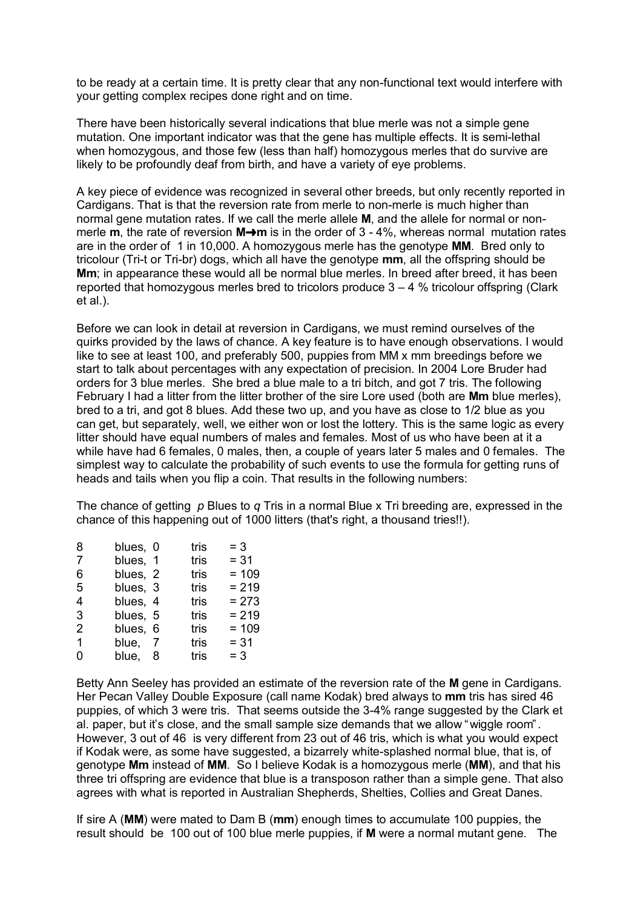to be ready at a certain time. It is pretty clear that any non-functional text would interfere with your getting complex recipes done right and on time.

There have been historically several indications that blue merle was not a simple gene mutation. One important indicator was that the gene has multiple effects. It is semi-lethal when homozygous, and those few (less than half) homozygous merles that do survive are likely to be profoundly deaf from birth, and have a variety of eye problems.

A key piece of evidence was recognized in several other breeds, but only recently reported in Cardigans. That is that the reversion rate from merle to non-merle is much higher than normal gene mutation rates. If we call the merle allele **M**, and the allele for normal or nonmerle **m**, the rate of reversion  $M \rightarrow m$  is in the order of 3 - 4%, whereas normal mutation rates are in the order of 1 in 10,000. A homozygous merle has the genotype **MM**. Bred only to tricolour (Tri-t or Tri-br) dogs, which all have the genotype **mm**, all the offspring should be **Mm**; in appearance these would all be normal blue merles. In breed after breed, it has been reported that homozygous merles bred to tricolors produce  $3 - 4$  % tricolour offspring (Clark et al.).

Before we can look in detail at reversion in Cardigans, we must remind ourselves of the quirks provided by the laws of chance. A key feature is to have enough observations. I would like to see at least 100, and preferably 500, puppies from MM x mm breedings before we start to talk about percentages with any expectation of precision. In 2004 Lore Bruder had orders for 3 blue merles. She bred a blue male to a tri bitch, and got 7 tris. The following February I had a litter from the litter brother of the sire Lore used (both are **Mm** blue merles), bred to a tri, and got 8 blues. Add these two up, and you have as close to 1/2 blue as you can get, but separately, well, we either won or lost the lottery. This is the same logic as every litter should have equal numbers of males and females. Most of us who have been at it a while have had 6 females, 0 males, then, a couple of years later 5 males and 0 females. The simplest way to calculate the probability of such events to use the formula for getting runs of heads and tails when you flip a coin. That results in the following numbers:

The chance of getting *p* Blues to *q* Tris in a normal Blue x Tri breeding are, expressed in the chance of this happening out of 1000 litters (that's right, a thousand tries!!).

| 8 | blues, 0 |    | tris | $= 3$   |
|---|----------|----|------|---------|
| 7 | blues, 1 |    | tris | $= 31$  |
| 6 | blues, 2 |    | tris | $= 109$ |
| 5 | blues, 3 |    | tris | $= 219$ |
| 4 | blues, 4 |    | tris | $= 273$ |
| 3 | blues, 5 |    | tris | $= 219$ |
| 2 | blues, 6 |    | tris | $= 109$ |
| 1 | blue.    | -7 | tris | $= 31$  |
| 0 | blue.    | 8  | tris | $= 3$   |
|   |          |    |      |         |

Betty Ann Seeley has provided an estimate of the reversion rate of the **M** gene in Cardigans. Her Pecan Valley Double Exposure (call name Kodak) bred always to **mm** tris has sired 46 puppies, of which 3 were tris. That seems outside the 3-4% range suggested by the Clark et al. paper, but it's close, and the small sample size demands that we allow "wiggle room". However, 3 out of 46 is very different from 23 out of 46 tris, which is what you would expect if Kodak were, as some have suggested, a bizarrely white-splashed normal blue, that is, of genotype **Mm** instead of **MM**. So I believe Kodak is a homozygous merle (**MM**), and that his three tri offspring are evidence that blue is a transposon rather than a simple gene. That also agrees with what is reported in Australian Shepherds, Shelties, Collies and Great Danes.

If sire A (**MM**) were mated to Dam B (**mm**) enough times to accumulate 100 puppies, the result should be 100 out of 100 blue merle puppies, if **M** were a normal mutant gene. The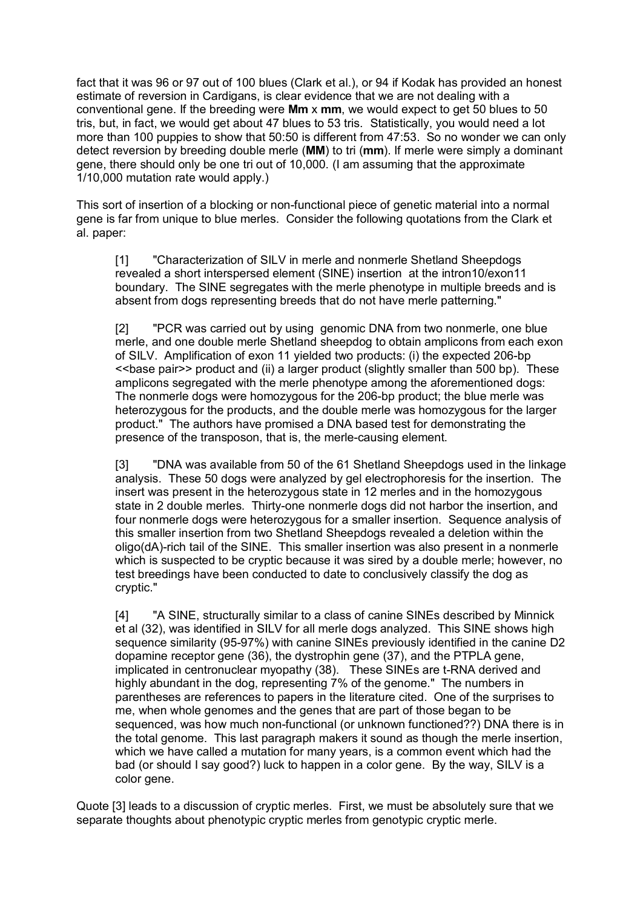fact that it was 96 or 97 out of 100 blues (Clark et al.), or 94 if Kodak has provided an honest estimate of reversion in Cardigans, is clear evidence that we are not dealing with a conventional gene. If the breeding were **Mm** x **mm**, we would expect to get 50 blues to 50 tris, but, in fact, we would get about 47 blues to 53 tris. Statistically, you would need a lot more than 100 puppies to show that 50:50 is different from 47:53. So no wonder we can only detect reversion by breeding double merle (**MM**) to tri (**mm**). If merle were simply a dominant gene, there should only be one tri out of 10,000. (I am assuming that the approximate 1/10,000 mutation rate would apply.)

This sort of insertion of a blocking or non-functional piece of genetic material into a normal gene is far from unique to blue merles. Consider the following quotations from the Clark et al. paper:

[1] "Characterization of SILV in merle and nonmerle Shetland Sheepdogs revealed a short interspersed element (SINE) insertion at the intron10/exon11 boundary. The SINE segregates with the merle phenotype in multiple breeds and is absent from dogs representing breeds that do not have merle patterning."

[2] "PCR was carried out by using genomic DNA from two nonmerle, one blue merle, and one double merle Shetland sheepdog to obtain amplicons from each exon of SILV. Amplification of exon 11 yielded two products: (i) the expected 206-bp <<base pair>> product and (ii) a larger product (slightly smaller than 500 bp). These amplicons segregated with the merle phenotype among the aforementioned dogs: The nonmerle dogs were homozygous for the 206-bp product; the blue merle was heterozygous for the products, and the double merle was homozygous for the larger product." The authors have promised a DNA based test for demonstrating the presence of the transposon, that is, the merle-causing element.

[3] "DNA was available from 50 of the 61 Shetland Sheepdogs used in the linkage analysis. These 50 dogs were analyzed by gel electrophoresis for the insertion. The insert was present in the heterozygous state in 12 merles and in the homozygous state in 2 double merles. Thirty-one nonmerle dogs did not harbor the insertion, and four nonmerle dogs were heterozygous for a smaller insertion. Sequence analysis of this smaller insertion from two Shetland Sheepdogs revealed a deletion within the oligo(dA)-rich tail of the SINE. This smaller insertion was also present in a nonmerle which is suspected to be cryptic because it was sired by a double merle; however, no test breedings have been conducted to date to conclusively classify the dog as cryptic."

[4] "A SINE, structurally similar to a class of canine SINEs described by Minnick et al (32), was identified in SILV for all merle dogs analyzed. This SINE shows high sequence similarity (95-97%) with canine SINEs previously identified in the canine D2 dopamine receptor gene (36), the dystrophin gene (37), and the PTPLA gene, implicated in centronuclear myopathy (38). These SINEs are t-RNA derived and highly abundant in the dog, representing 7% of the genome." The numbers in parentheses are references to papers in the literature cited. One of the surprises to me, when whole genomes and the genes that are part of those began to be sequenced, was how much non-functional (or unknown functioned??) DNA there is in the total genome. This last paragraph makers it sound as though the merle insertion, which we have called a mutation for many years, is a common event which had the bad (or should I say good?) luck to happen in a color gene. By the way, SILV is a color gene.

Quote [3] leads to a discussion of cryptic merles. First, we must be absolutely sure that we separate thoughts about phenotypic cryptic merles from genotypic cryptic merle.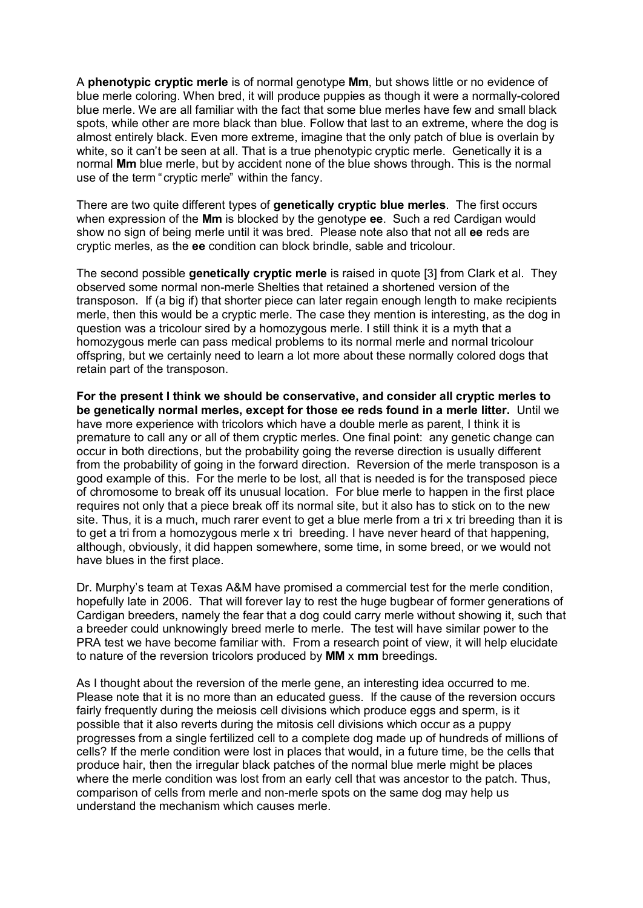A **phenotypic cryptic merle** is of normal genotype **Mm**, but shows little or no evidence of blue merle coloring. When bred, it will produce puppies as though it were a normally-colored blue merle. We are all familiar with the fact that some blue merles have few and small black spots, while other are more black than blue. Follow that last to an extreme, where the dog is almost entirely black. Even more extreme, imagine that the only patch of blue is overlain by white, so it can't be seen at all. That is a true phenotypic cryptic merle. Genetically it is a normal **Mm** blue merle, but by accident none of the blue shows through. This is the normal use of the term "cryptic merle" within the fancy.

There are two quite different types of **genetically cryptic blue merles**. The first occurs when expression of the **Mm** is blocked by the genotype **ee**. Such a red Cardigan would show no sign of being merle until it was bred. Please note also that not all **ee** reds are cryptic merles, as the **ee** condition can block brindle, sable and tricolour.

The second possible **genetically cryptic merle** is raised in quote [3] from Clark et al. They observed some normal non-merle Shelties that retained a shortened version of the transposon. If (a big if) that shorter piece can later regain enough length to make recipients merle, then this would be a cryptic merle. The case they mention is interesting, as the dog in question was a tricolour sired by a homozygous merle. I still think it is a myth that a homozygous merle can pass medical problems to its normal merle and normal tricolour offspring, but we certainly need to learn a lot more about these normally colored dogs that retain part of the transposon.

**For the present I think we should be conservative, and consider all cryptic merles to be genetically normal merles, except for those ee reds found in a merle litter.** Until we have more experience with tricolors which have a double merle as parent, I think it is premature to call any or all of them cryptic merles. One final point: any genetic change can occur in both directions, but the probability going the reverse direction is usually different from the probability of going in the forward direction. Reversion of the merle transposon is a good example of this. For the merle to be lost, all that is needed is for the transposed piece of chromosome to break off its unusual location. For blue merle to happen in the first place requires not only that a piece break off its normal site, but it also has to stick on to the new site. Thus, it is a much, much rarer event to get a blue merle from a tri x tri breeding than it is to get a tri from a homozygous merle x tri breeding. I have never heard of that happening, although, obviously, it did happen somewhere, some time, in some breed, or we would not have blues in the first place.

Dr. Murphy's team at Texas A&M have promised a commercial test for the merle condition, hopefully late in 2006. That will forever lay to rest the huge bugbear of former generations of Cardigan breeders, namely the fear that a dog could carry merle without showing it, such that a breeder could unknowingly breed merle to merle. The test will have similar power to the PRA test we have become familiar with. From a research point of view, it will help elucidate to nature of the reversion tricolors produced by **MM** x **mm** breedings.

As I thought about the reversion of the merle gene, an interesting idea occurred to me. Please note that it is no more than an educated guess. If the cause of the reversion occurs fairly frequently during the meiosis cell divisions which produce eggs and sperm, is it possible that it also reverts during the mitosis cell divisions which occur as a puppy progresses from a single fertilized cell to a complete dog made up of hundreds of millions of cells? If the merle condition were lost in places that would, in a future time, be the cells that produce hair, then the irregular black patches of the normal blue merle might be places where the merle condition was lost from an early cell that was ancestor to the patch. Thus, comparison of cells from merle and non-merle spots on the same dog may help us understand the mechanism which causes merle.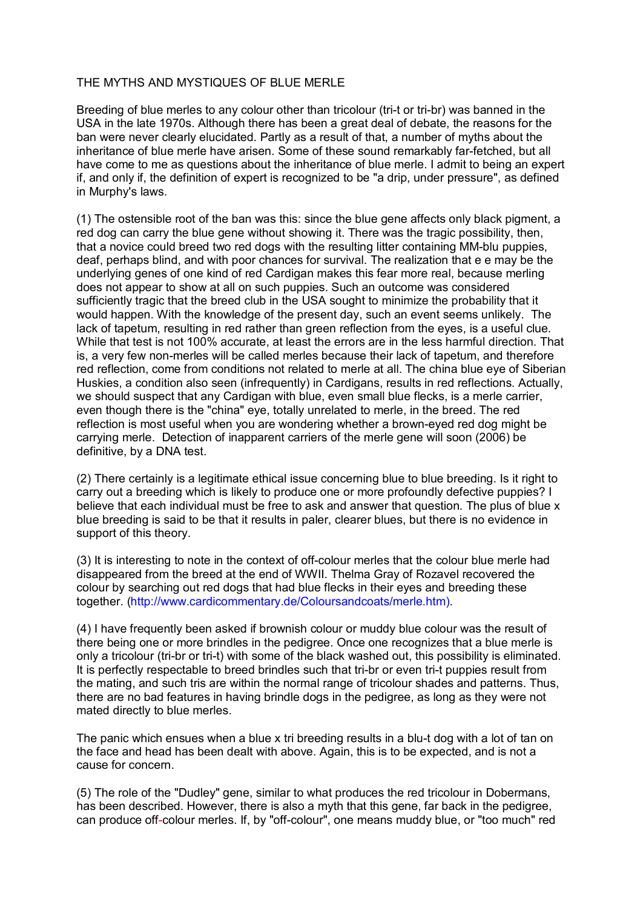## THE MYTHS AND MYSTIQUES OF BLUE MERLE

Breeding of blue merles to any colour other than tricolour (tri-t or tri-br) was banned in the USA in the late 1970s. Although there has been a great deal of debate, the reasons for the ban were never clearly elucidated. Partly as a result of that, a number of myths about the inheritance of blue merle have arisen. Some of these sound remarkably far-fetched, but all have come to me as questions about the inheritance of blue merle. I admit to being an expert if, and only if, the definition of expert is recognized to be "a drip, under pressure", as defined in Murphy's laws.

(1) The ostensible root of the ban was this: since the blue gene affects only black pigment, a red dog can carry the blue gene without showing it. There was the tragic possibility, then, that a novice could breed two red dogs with the resulting litter containing MM-blu puppies, deaf, perhaps blind, and with poor chances for survival. The realization that e e may be the underlying genes of one kind of red Cardigan makes this fear more real, because merling does not appear to show at all on such puppies. Such an outcome was considered sufficiently tragic that the breed club in the USA sought to minimize the probability that it would happen. With the knowledge of the present day, such an event seems unlikely. The lack of tapetum, resulting in red rather than green reflection from the eyes, is a useful clue. While that test is not 100% accurate, at least the errors are in the less harmful direction. That is, a very few non-merles will be called merles because their lack of tapetum, and therefore red reflection, come from conditions not related to merle at all. The china blue eye of Siberian Huskies, a condition also seen (infrequently) in Cardigans, results in red reflections. Actually, we should suspect that any Cardigan with blue, even small blue flecks, is a merle carrier, even though there is the "china" eye, totally unrelated to merle, in the breed. The red reflection is most useful when you are wondering whether a brown-eyed red dog might be carrying merle. Detection of inapparent carriers of the merle gene will soon (2006) be definitive, by a DNA test.

(2) There certainly is a legitimate ethical issue concerning blue to blue breeding. Is it right to carry out a breeding which is likely to produce one or more profoundly defective puppies? I believe that each individual must be free to ask and answer that question. The plus of blue x blue breeding is said to be that it results in paler, clearer blues, but there is no evidence in support of this theory.

(3) It is interesting to note in the context of off-colour merles that the colour blue merle had disappeared from the breed at the end of WWII. Thelma Gray of Rozavel recovered the colour by searching out red dogs that had blue flecks in their eyes and breeding these together. [\(http://www.cardicommentary.de/Coloursandcoats/merle.htm\)](http://www.cardicommentary.de/Coloursandcoats/merle.htm)).

(4) I have frequently been asked if brownish colour or muddy blue colour was the result of there being one or more brindles in the pedigree. Once one recognizes that a blue merle is only a tricolour (tri-br or tri-t) with some of the black washed out, this possibility is eliminated. It is perfectly respectable to breed brindles such that tri-br or even tri-t puppies result from the mating, and such tris are within the normal range of tricolour shades and patterns. Thus, there are no bad features in having brindle dogs in the pedigree, as long as they were not mated directly to blue merles.

The panic which ensues when a blue x tri breeding results in a blu-t dog with a lot of tan on the face and head has been dealt with above. Again, this is to be expected, and is not a cause for concern.

(5) The role of the "Dudley" gene, similar to what produces the red tricolour in Dobermans, has been described. However, there is also a myth that this gene, far back in the pedigree, can produce off-colour merles. If, by "off-colour", one means muddy blue, or "too much" red